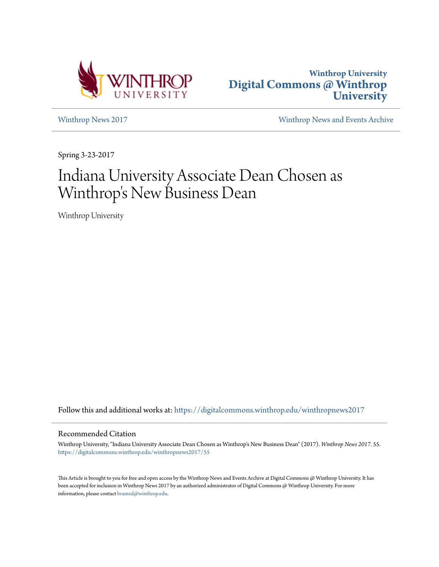



[Winthrop News 2017](https://digitalcommons.winthrop.edu/winthropnews2017?utm_source=digitalcommons.winthrop.edu%2Fwinthropnews2017%2F55&utm_medium=PDF&utm_campaign=PDFCoverPages) [Winthrop News and Events Archive](https://digitalcommons.winthrop.edu/winthropnewsarchives?utm_source=digitalcommons.winthrop.edu%2Fwinthropnews2017%2F55&utm_medium=PDF&utm_campaign=PDFCoverPages)

Spring 3-23-2017

## Indiana University Associate Dean Chosen as Winthrop 's New Business Dean

Winthrop University

Follow this and additional works at: [https://digitalcommons.winthrop.edu/winthropnews2017](https://digitalcommons.winthrop.edu/winthropnews2017?utm_source=digitalcommons.winthrop.edu%2Fwinthropnews2017%2F55&utm_medium=PDF&utm_campaign=PDFCoverPages)

## Recommended Citation

Winthrop University, "Indiana University Associate Dean Chosen as Winthrop's New Business Dean" (2017). *Winthrop News 2017*. 55. [https://digitalcommons.winthrop.edu/winthropnews2017/55](https://digitalcommons.winthrop.edu/winthropnews2017/55?utm_source=digitalcommons.winthrop.edu%2Fwinthropnews2017%2F55&utm_medium=PDF&utm_campaign=PDFCoverPages)

This Article is brought to you for free and open access by the Winthrop News and Events Archive at Digital Commons @ Winthrop University. It has been accepted for inclusion in Winthrop News 2017 by an authorized administrator of Digital Commons @ Winthrop University. For more information, please contact [bramed@winthrop.edu](mailto:bramed@winthrop.edu).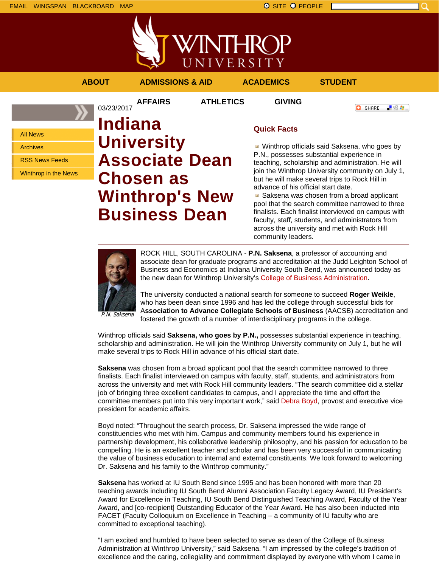

VINTHROP UNIVERSITY **ABOUT ADMISSIONS & AID ACADEMICS STUDENT**

**AFFAIRS ATHLETICS GIVING**

**O** SHARE ■金々。

All News

Archives

RSS News Feeds

Winthrop in the News

03/23/2017 **Indiana University Associate Dean Chosen as Winthrop's New Business Dean**

## **Quick Facts**

Winthrop officials said Saksena, who goes by P.N., possesses substantial experience in teaching, scholarship and administration. He will join the Winthrop University community on July 1, but he will make several trips to Rock Hill in advance of his official start date.

Saksena was chosen from a broad applicant pool that the search committee narrowed to three finalists. Each finalist interviewed on campus with faculty, staff, students, and administrators from across the university and met with Rock Hill community leaders.



ROCK HILL, SOUTH CAROLINA - **P.N. Saksena**, a professor of accounting and associate dean for graduate programs and accreditation at the Judd Leighton School of Business and Economics at Indiana University South Bend, was announced today as the new dean for Winthrop University's College of Business Administration.

The university conducted a national search for someone to succeed **Roger Weikle**, who has been dean since 1996 and has led the college through successful bids for A**ssociation to Advance Collegiate Schools of Business** (AACSB) accreditation and fostered the growth of a number of interdisciplinary programs in the college.

P.N. Saksena

Winthrop officials said **Saksena, who goes by P.N.,** possesses substantial experience in teaching, scholarship and administration. He will join the Winthrop University community on July 1, but he will make several trips to Rock Hill in advance of his official start date.

**Saksena** was chosen from a broad applicant pool that the search committee narrowed to three finalists. Each finalist interviewed on campus with faculty, staff, students, and administrators from across the university and met with Rock Hill community leaders. "The search committee did a stellar job of bringing three excellent candidates to campus, and I appreciate the time and effort the committee members put into this very important work," said Debra Boyd, provost and executive vice president for academic affairs.

Boyd noted: "Throughout the search process, Dr. Saksena impressed the wide range of constituencies who met with him. Campus and community members found his experience in partnership development, his collaborative leadership philosophy, and his passion for education to be compelling. He is an excellent teacher and scholar and has been very successful in communicating the value of business education to internal and external constituents. We look forward to welcoming Dr. Saksena and his family to the Winthrop community."

**Saksena** has worked at IU South Bend since 1995 and has been honored with more than 20 teaching awards including IU South Bend Alumni Association Faculty Legacy Award, IU President's Award for Excellence in Teaching, IU South Bend Distinguished Teaching Award, Faculty of the Year Award, and [co-recipient] Outstanding Educator of the Year Award. He has also been inducted into FACET (Faculty Colloquium on Excellence in Teaching – a community of IU faculty who are committed to exceptional teaching).

"I am excited and humbled to have been selected to serve as dean of the College of Business Administration at Winthrop University," said Saksena. "I am impressed by the college's tradition of excellence and the caring, collegiality and commitment displayed by everyone with whom I came in